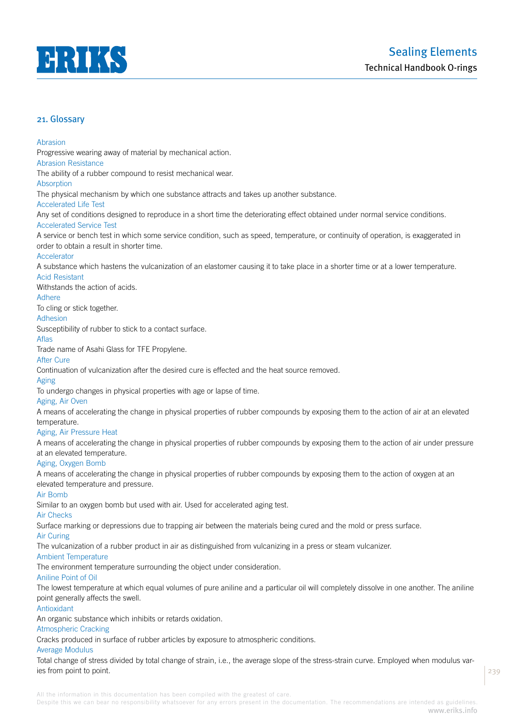

#### Abrasion

Progressive wearing away of material by mechanical action.

Abrasion Resistance

The ability of a rubber compound to resist mechanical wear.

#### Absorption

The physical mechanism by which one substance attracts and takes up another substance.

# Accelerated Life Test

Any set of conditions designed to reproduce in a short time the deteriorating effect obtained under normal service conditions. Accelerated Service Test

A service or bench test in which some service condition, such as speed, temperature, or continuity of operation, is exaggerated in order to obtain a result in shorter time.

## **Accelerator**

A substance which hastens the vulcanization of an elastomer causing it to take place in a shorter time or at a lower temperature.

# Acid Resistant

Withstands the action of acids.

# **Adhere**

To cling or stick together.

# Adhesion

Susceptibility of rubber to stick to a contact surface.

## Aflas

Trade name of Asahi Glass for TFE Propylene.

# After Cure

Continuation of vulcanization after the desired cure is effected and the heat source removed.

# Aging

To undergo changes in physical properties with age or lapse of time.

## Aging, Air Oven

A means of accelerating the change in physical properties of rubber compounds by exposing them to the action of air at an elevated temperature.

## Aging, Air Pressure Heat

A means of accelerating the change in physical properties of rubber compounds by exposing them to the action of air under pressure at an elevated temperature.

# Aging, Oxygen Bomb

A means of accelerating the change in physical properties of rubber compounds by exposing them to the action of oxygen at an elevated temperature and pressure.

## Air Bomb

Similar to an oxygen bomb but used with air. Used for accelerated aging test.

#### Air Checks

Surface marking or depressions due to trapping air between the materials being cured and the mold or press surface.

# Air Curing

The vulcanization of a rubber product in air as distinguished from vulcanizing in a press or steam vulcanizer.

#### Ambient Temperature

The environment temperature surrounding the object under consideration.

## Aniline Point of Oil

The lowest temperature at which equal volumes of pure aniline and a particular oil will completely dissolve in one another. The aniline point generally affects the swell.

# Antioxidant

An organic substance which inhibits or retards oxidation.

## Atmospheric Cracking

Cracks produced in surface of rubber articles by exposure to atmospheric conditions.

## Average Modulus

Total change of stress divided by total change of strain, i.e., the average slope of the stress-strain curve. Employed when modulus varies from point to point.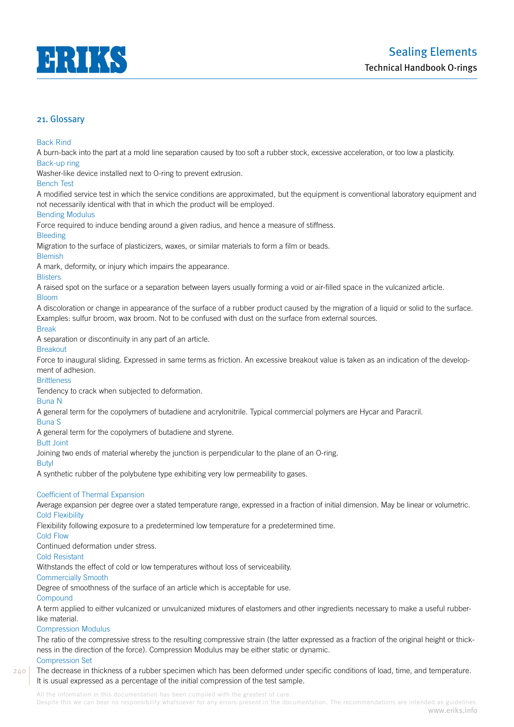

# Back Rind

A burn-back into the part at a mold line separation caused by too soft a rubber stock, excessive acceleration, or too low a plasticity. Back-up ring

Washer-like device installed next to O-ring to prevent extrusion.

# Bench Test

A modified service test in which the service conditions are approximated, but the equipment is conventional laboratory equipment and not necessarily identical with that in which the product will be employed.

# Bending Modulus

Force required to induce bending around a given radius, and hence a measure of stiffness.

# Bleeding

Migration to the surface of plasticizers, waxes, or similar materials to form a film or beads.

## **Blemish**

A mark, deformity, or injury which impairs the appearance.

# **Blisters**

A raised spot on the surface or a separation between layers usually forming a void or air-filled space in the vulcanized article.

## Bloom

A discoloration or change in appearance of the surface of a rubber product caused by the migration of a liquid or solid to the surface. Examples: sulfur broom, wax broom. Not to be confused with dust on the surface from external sources.

## Break

A separation or discontinuity in any part of an article.

## Breakout

Force to inaugural sliding. Expressed in same terms as friction. An excessive breakout value is taken as an indication of the development of adhesion.

## **Brittleness**

Tendency to crack when subjected to deformation.

## Buna N

A general term for the copolymers of butadiene and acrylonitrile. Typical commercial polymers are Hycar and Paracril.

# Buna S

A general term for the copolymers of butadiene and styrene.

## Butt Joint

Joining two ends of material whereby the junction is perpendicular to the plane of an O-ring.

## Butyl

A synthetic rubber of the polybutene type exhibiting very low permeability to gases.

## Coefficient of Thermal Expansion

Average expansion per degree over a stated temperature range, expressed in a fraction of initial dimension. May be linear or volumetric. Cold Flexibility

Flexibility following exposure to a predetermined low temperature for a predetermined time.

## Cold Flow

Continued deformation under stress.

# Cold Resistant

Withstands the effect of cold or low temperatures without loss of serviceability.

## Commercially Smooth

Degree of smoothness of the surface of an article which is acceptable for use.

## **Compound**

A term applied to either vulcanized or unvulcanized mixtures of elastomers and other ingredients necessary to make a useful rubberlike material.

## Compression Modulus

The ratio of the compressive stress to the resulting compressive strain (the latter expressed as a fraction of the original height or thickness in the direction of the force). Compression Modulus may be either static or dynamic.

# Compression Set

240

The decrease in thickness of a rubber specimen which has been deformed under specific conditions of load, time, and temperature. It is usual expressed as a percentage of the initial compression of the test sample.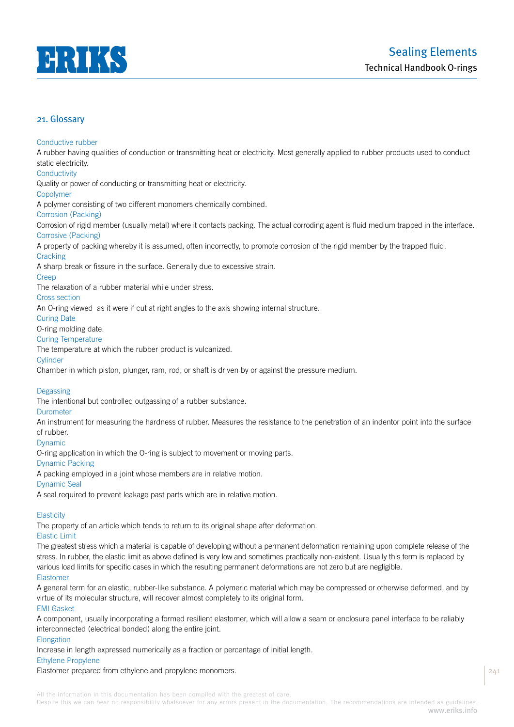

## Conductive rubber

A rubber having qualities of conduction or transmitting heat or electricity. Most generally applied to rubber products used to conduct static electricity.

# **Conductivity**

Quality or power of conducting or transmitting heat or electricity.

#### Copolymer

A polymer consisting of two different monomers chemically combined.

# Corrosion (Packing)

Corrosion of rigid member (usually metal) where it contacts packing. The actual corroding agent is fluid medium trapped in the interface. Corrosive (Packing)

A property of packing whereby it is assumed, often incorrectly, to promote corrosion of the rigid member by the trapped fluid.

## **Cracking**

A sharp break or fissure in the surface. Generally due to excessive strain.

## Creep

The relaxation of a rubber material while under stress.

## Cross section

An O-ring viewed as it were if cut at right angles to the axis showing internal structure.

# Curing Date

O-ring molding date.

# Curing Temperature

The temperature at which the rubber product is vulcanized.

## **Cylinder**

Chamber in which piston, plunger, ram, rod, or shaft is driven by or against the pressure medium.

# Degassing

The intentional but controlled outgassing of a rubber substance.

## Durometer

An instrument for measuring the hardness of rubber. Measures the resistance to the penetration of an indentor point into the surface of rubber.

## Dynamic

O-ring application in which the O-ring is subject to movement or moving parts.

## Dynamic Packing

A packing employed in a joint whose members are in relative motion.

## Dynamic Seal

A seal required to prevent leakage past parts which are in relative motion.

## **Elasticity**

The property of an article which tends to return to its original shape after deformation.

# Elastic Limit

The greatest stress which a material is capable of developing without a permanent deformation remaining upon complete release of the stress. In rubber, the elastic limit as above defined is very low and sometimes practically non-existent. Usually this term is replaced by various load limits for specific cases in which the resulting permanent deformations are not zero but are negligible.

# Elastomer

A general term for an elastic, rubber-like substance. A polymeric material which may be compressed or otherwise deformed, and by virtue of its molecular structure, will recover almost completely to its original form.

## EMI Gasket

A component, usually incorporating a formed resilient elastomer, which will allow a seam or enclosure panel interface to be reliably interconnected (electrical bonded) along the entire joint.

## **Elongation**

Increase in length expressed numerically as a fraction or percentage of initial length.

# Ethylene Propylene

Elastomer prepared from ethylene and propylene monomers.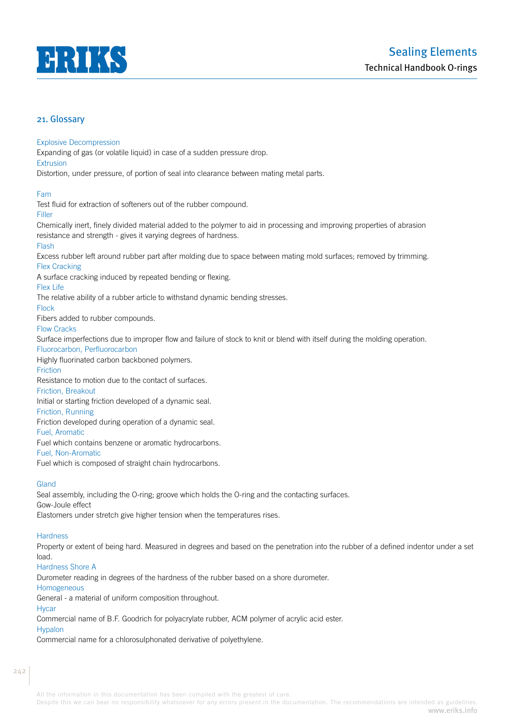

## Explosive Decompression

Expanding of gas (or volatile liquid) in case of a sudden pressure drop.

Extrusion

Distortion, under pressure, of portion of seal into clearance between mating metal parts.

Fam

Test fluid for extraction of softeners out of the rubber compound.

Filler

Chemically inert, finely divided material added to the polymer to aid in processing and improving properties of abrasion resistance and strength - gives it varying degrees of hardness.

# Flash

Excess rubber left around rubber part after molding due to space between mating mold surfaces; removed by trimming. Flex Cracking

A surface cracking induced by repeated bending or flexing.

# Flex Life

The relative ability of a rubber article to withstand dynamic bending stresses.

# Flock

Fibers added to rubber compounds.

## Flow Cracks

Surface imperfections due to improper flow and failure of stock to knit or blend with itself during the molding operation. Fluorocarbon, Perfluorocarbon

Highly fluorinated carbon backboned polymers.

# **Friction**

Resistance to motion due to the contact of surfaces.

# Friction, Breakout

Initial or starting friction developed of a dynamic seal.

# Friction, Running

Friction developed during operation of a dynamic seal.

Fuel, Aromatic

Fuel which contains benzene or aromatic hydrocarbons.

Fuel, Non-Aromatic

Fuel which is composed of straight chain hydrocarbons.

# **Gland**

Seal assembly, including the O-ring; groove which holds the O-ring and the contacting surfaces. Gow-Joule effect

Elastomers under stretch give higher tension when the temperatures rises.

# **Hardness**

Property or extent of being hard. Measured in degrees and based on the penetration into the rubber of a defined indentor under a set load.

# Hardness Shore A

Durometer reading in degrees of the hardness of the rubber based on a shore durometer.

Homogeneous

General - a material of uniform composition throughout.

**H**ycar

Commercial name of B.F. Goodrich for polyacrylate rubber, ACM polymer of acrylic acid ester.

# Hypalon

Commercial name for a chlorosulphonated derivative of polyethylene.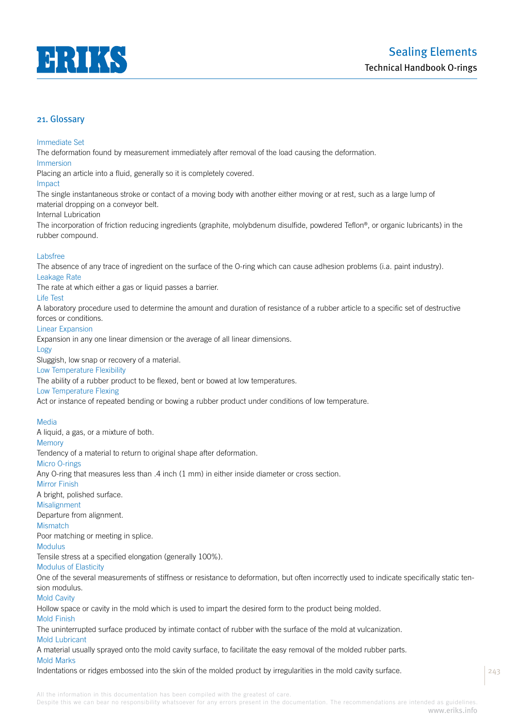

## Immediate Set

The deformation found by measurement immediately after removal of the load causing the deformation.

#### Immersion

Placing an article into a fluid, generally so it is completely covered.

#### Impact

The single instantaneous stroke or contact of a moving body with another either moving or at rest, such as a large lump of material dropping on a conveyor belt.

## Internal Lubrication

The incorporation of friction reducing ingredients (graphite, molybdenum disulfide, powdered Teflon®, or organic lubricants) in the rubber compound.

# Labsfree

The absence of any trace of ingredient on the surface of the O-ring which can cause adhesion problems (i.a. paint industry). Leakage Rate

The rate at which either a gas or liquid passes a barrier.

# Life Test

A laboratory procedure used to determine the amount and duration of resistance of a rubber article to a specific set of destructive forces or conditions.

## Linear Expansion

Expansion in any one linear dimension or the average of all linear dimensions.

#### Logy

Sluggish, low snap or recovery of a material.

## Low Temperature Flexibility

The ability of a rubber product to be flexed, bent or bowed at low temperatures.

# Low Temperature Flexing

Act or instance of repeated bending or bowing a rubber product under conditions of low temperature.

## Media

A liquid, a gas, or a mixture of both.

# **Memory**

Tendency of a material to return to original shape after deformation.

## Micro O-rings

Any O-ring that measures less than .4 inch (1 mm) in either inside diameter or cross section.

# Mirror Finish

A bright, polished surface.

# Misalignment

Departure from alignment.

# **Mismatch**

Poor matching or meeting in splice.

# Modulus

Tensile stress at a specified elongation (generally 100%).

# Modulus of Elasticity

One of the several measurements of stiffness or resistance to deformation, but often incorrectly used to indicate specifically static tension modulus.

# Mold Cavity

Hollow space or cavity in the mold which is used to impart the desired form to the product being molded.

## Mold Finish

The uninterrupted surface produced by intimate contact of rubber with the surface of the mold at vulcanization.

# Mold Lubricant

A material usually sprayed onto the mold cavity surface, to facilitate the easy removal of the molded rubber parts.

# Mold Marks

Indentations or ridges embossed into the skin of the molded product by irregularities in the mold cavity surface.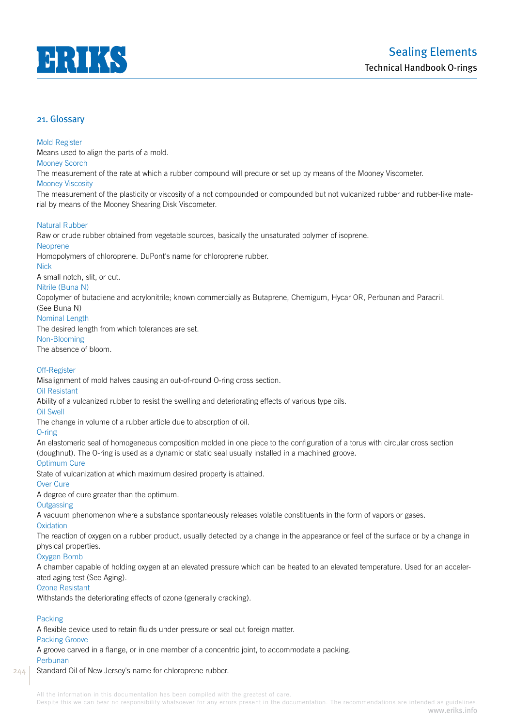

## Mold Register

Means used to align the parts of a mold.

Mooney Scorch

The measurement of the rate at which a rubber compound will precure or set up by means of the Mooney Viscometer.

## Mooney Viscosity

The measurement of the plasticity or viscosity of a not compounded or compounded but not vulcanized rubber and rubber-like material by means of the Mooney Shearing Disk Viscometer.

# Natural Rubber

Raw or crude rubber obtained from vegetable sources, basically the unsaturated polymer of isoprene.

# Neoprene

Homopolymers of chloroprene. DuPont's name for chloroprene rubber.

Nick

A small notch, slit, or cut.

# Nitrile (Buna N)

Copolymer of butadiene and acrylonitrile; known commercially as Butaprene, Chemigum, Hycar OR, Perbunan and Paracril.

# (See Buna N)

Nominal Length

The desired length from which tolerances are set.

# Non-Blooming

The absence of bloom.

# Off-Register

Misalignment of mold halves causing an out-of-round O-ring cross section.

## Oil Resistant

Ability of a vulcanized rubber to resist the swelling and deteriorating effects of various type oils.

# Oil Swell

The change in volume of a rubber article due to absorption of oil.

# O-ring

An elastomeric seal of homogeneous composition molded in one piece to the configuration of a torus with circular cross section (doughnut). The O-ring is used as a dynamic or static seal usually installed in a machined groove.

# Optimum Cure

State of vulcanization at which maximum desired property is attained.

# Over Cure

A degree of cure greater than the optimum.

# **Outgassing**

A vacuum phenomenon where a substance spontaneously releases volatile constituents in the form of vapors or gases.

## **Oxidation**

The reaction of oxygen on a rubber product, usually detected by a change in the appearance or feel of the surface or by a change in physical properties.

# Oxygen Bomb

A chamber capable of holding oxygen at an elevated pressure which can be heated to an elevated temperature. Used for an accelerated aging test (See Aging).

# Ozone Resistant

Withstands the deteriorating effects of ozone (generally cracking).

# Packing

244

A flexible device used to retain fluids under pressure or seal out foreign matter.

## Packing Groove

A groove carved in a flange, or in one member of a concentric joint, to accommodate a packing.

## Perbunan

## Standard Oil of New Jersey's name for chloroprene rubber.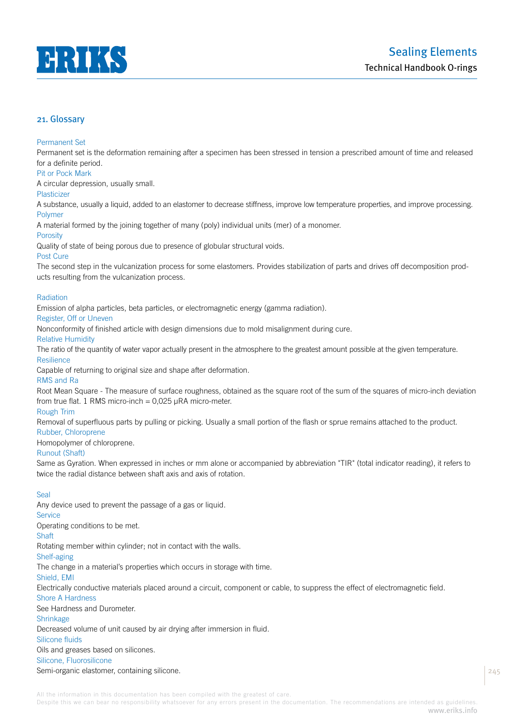

# Permanent Set

Permanent set is the deformation remaining after a specimen has been stressed in tension a prescribed amount of time and released for a definite period.

# Pit or Pock Mark

A circular depression, usually small.

# Plasticizer

A substance, usually a liquid, added to an elastomer to decrease stiffness, improve low temperature properties, and improve processing. Polymer

A material formed by the joining together of many (poly) individual units (mer) of a monomer.

# **Porosity**

Quality of state of being porous due to presence of globular structural voids.

## Post Cure

The second step in the vulcanization process for some elastomers. Provides stabilization of parts and drives off decomposition products resulting from the vulcanization process.

## Radiation

Emission of alpha particles, beta particles, or electromagnetic energy (gamma radiation).

# Register, Off or Uneven

Nonconformity of finished article with design dimensions due to mold misalignment during cure.

# Relative Humidity

The ratio of the quantity of water vapor actually present in the atmosphere to the greatest amount possible at the given temperature. **Resilience** 

Capable of returning to original size and shape after deformation.

## RMS and Ra

Root Mean Square - The measure of surface roughness, obtained as the square root of the sum of the squares of micro-inch deviation from true flat. 1 RMS micro-inch =  $0,025$  µRA micro-meter.

## Rough Trim

Removal of superfluous parts by pulling or picking. Usually a small portion of the flash or sprue remains attached to the product.

# Rubber, Chloroprene

Homopolymer of chloroprene.

## Runout (Shaft)

Same as Gyration. When expressed in inches or mm alone or accompanied by abbreviation "TIR" (total indicator reading), it refers to twice the radial distance between shaft axis and axis of rotation.

# Seal

Any device used to prevent the passage of a gas or liquid. **Service** Operating conditions to be met. **Shaft** Rotating member within cylinder; not in contact with the walls. Shelf-aging The change in a material's properties which occurs in storage with time. Shield, EMI Electrically conductive materials placed around a circuit, component or cable, to suppress the effect of electromagnetic field. Shore A Hardness See Hardness and Durometer. Shrinkage Decreased volume of unit caused by air drying after immersion in fluid. Silicone fluids Oils and greases based on silicones.

# Silicone, Fluorosilicone

Semi-organic elastomer, containing silicone.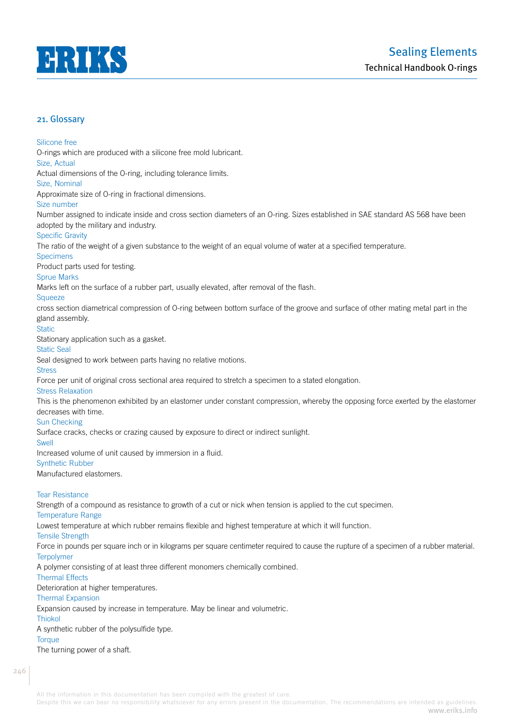

Silicone free

O-rings which are produced with a silicone free mold lubricant. Size, Actual Actual dimensions of the O-ring, including tolerance limits.

Size, Nominal

Approximate size of O-ring in fractional dimensions.

Size number

Number assigned to indicate inside and cross section diameters of an O-ring. Sizes established in SAE standard AS 568 have been adopted by the military and industry.

## Specific Gravity

The ratio of the weight of a given substance to the weight of an equal volume of water at a specified temperature.

**Specimens** 

Product parts used for testing.

# Sprue Marks

Marks left on the surface of a rubber part, usually elevated, after removal of the flash.

# **Squeeze**

cross section diametrical compression of O-ring between bottom surface of the groove and surface of other mating metal part in the gland assembly.

## **Static**

Stationary application such as a gasket.

#### Static Seal

Seal designed to work between parts having no relative motions.

## **Stress**

Force per unit of original cross sectional area required to stretch a specimen to a stated elongation.

## Stress Relaxation

This is the phenomenon exhibited by an elastomer under constant compression, whereby the opposing force exerted by the elastomer decreases with time.

# Sun Checking

Surface cracks, checks or crazing caused by exposure to direct or indirect sunlight.

#### Swell

Increased volume of unit caused by immersion in a fluid.

## Synthetic Rubber

Manufactured elastomers.

## Tear Resistance

Strength of a compound as resistance to growth of a cut or nick when tension is applied to the cut specimen.

## Temperature Range

Lowest temperature at which rubber remains flexible and highest temperature at which it will function.

Tensile Strength

Force in pounds per square inch or in kilograms per square centimeter required to cause the rupture of a specimen of a rubber material. **Terpolymer** 

A polymer consisting of at least three different monomers chemically combined.

## Thermal Effects

Deterioration at higher temperatures.

# Thermal Expansion

Expansion caused by increase in temperature. May be linear and volumetric.

# Thiokol

A synthetic rubber of the polysulfide type.

## **Torque**

The turning power of a shaft.